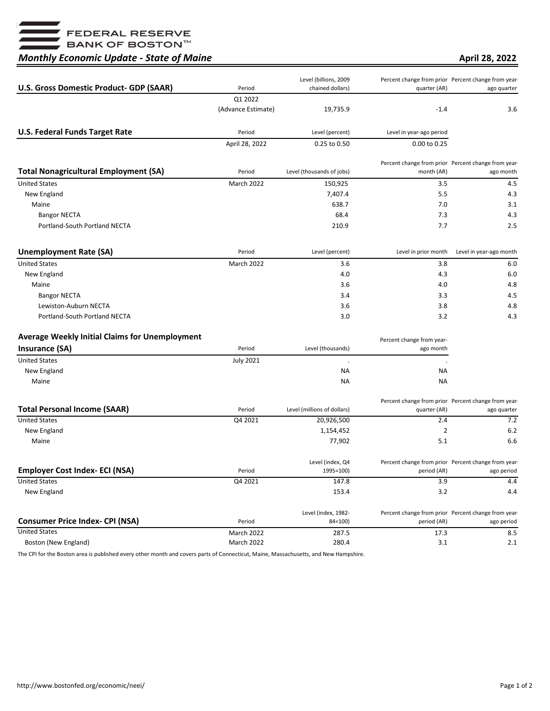—<br>■ FEDERAL RESERVE<br>■ BANK OF BOSTON™

## *Monthly Economic Update - State of Maine*

**April 28, 2022**

| <b>U.S. Gross Domestic Product- GDP (SAAR)</b>        | Period             | Level (billions, 2009<br>chained dollars) | quarter (AR)              | Percent change from prior Percent change from year-<br>ago quarter |
|-------------------------------------------------------|--------------------|-------------------------------------------|---------------------------|--------------------------------------------------------------------|
|                                                       | Q1 2022            |                                           |                           |                                                                    |
|                                                       | (Advance Estimate) | 19,735.9                                  | $-1.4$                    | 3.6                                                                |
| <b>U.S. Federal Funds Target Rate</b>                 | Period             | Level (percent)                           | Level in year-ago period  |                                                                    |
|                                                       | April 28, 2022     | 0.25 to 0.50                              | 0.00 to 0.25              |                                                                    |
| <b>Total Nonagricultural Employment (SA)</b>          | Period             | Level (thousands of jobs)                 | month (AR)                | Percent change from prior Percent change from year-<br>ago month   |
| <b>United States</b>                                  | <b>March 2022</b>  | 150,925                                   | 3.5                       | 4.5                                                                |
| New England                                           |                    | 7,407.4                                   | 5.5                       | 4.3                                                                |
| Maine                                                 |                    | 638.7                                     | 7.0                       | 3.1                                                                |
| <b>Bangor NECTA</b>                                   |                    | 68.4                                      | 7.3                       | 4.3                                                                |
| Portland-South Portland NECTA                         |                    | 210.9                                     | 7.7                       | 2.5                                                                |
| <b>Unemployment Rate (SA)</b>                         | Period             | Level (percent)                           | Level in prior month      | Level in year-ago month                                            |
| <b>United States</b>                                  | <b>March 2022</b>  | 3.6                                       | 3.8                       | 6.0                                                                |
| New England                                           |                    | 4.0                                       | 4.3                       | 6.0                                                                |
| Maine                                                 |                    | 3.6                                       | 4.0                       | 4.8                                                                |
| <b>Bangor NECTA</b>                                   |                    | 3.4                                       | 3.3                       | 4.5                                                                |
| Lewiston-Auburn NECTA                                 |                    | 3.6                                       | 3.8                       | 4.8                                                                |
| Portland-South Portland NECTA                         |                    | 3.0                                       | 3.2                       | 4.3                                                                |
| <b>Average Weekly Initial Claims for Unemployment</b> |                    |                                           | Percent change from year- |                                                                    |
| <b>Insurance (SA)</b>                                 | Period             | Level (thousands)                         | ago month                 |                                                                    |
| <b>United States</b>                                  | <b>July 2021</b>   |                                           |                           |                                                                    |
| New England                                           |                    | ΝA                                        | NА                        |                                                                    |
| Maine                                                 |                    | ΝA                                        | <b>NA</b>                 |                                                                    |
| <b>Total Personal Income (SAAR)</b>                   | Period             | Level (millions of dollars)               | quarter (AR)              | Percent change from prior Percent change from year-<br>ago quarter |
| <b>United States</b>                                  | Q4 2021            | 20,926,500                                | 2.4                       | 7.2                                                                |
| New England                                           |                    | 1,154,452                                 | 2                         | 6.2                                                                |
| Maine                                                 |                    | 77,902                                    | 5.1                       | 6.6                                                                |
| <b>Employer Cost Index- ECI (NSA)</b>                 | Period             | Level (index, Q4<br>1995=100)             | period (AR)               | Percent change from prior Percent change from year-<br>ago period  |
| <b>United States</b>                                  | Q4 2021            | 147.8                                     | 3.9                       | 4.4                                                                |
| New England                                           |                    | 153.4                                     | 3.2                       | 4.4                                                                |
| <b>Consumer Price Index- CPI (NSA)</b>                | Period             | Level (index, 1982-<br>84=100)            | period (AR)               | Percent change from prior Percent change from year-<br>ago period  |
| <b>United States</b>                                  | March 2022         | 287.5                                     | 17.3                      | 8.5                                                                |
| Boston (New England)                                  | March 2022         | 280.4                                     | 3.1                       | 2.1                                                                |

The CPI for the Boston area is published every other month and covers parts of Connecticut, Maine, Massachusetts, and New Hampshire.